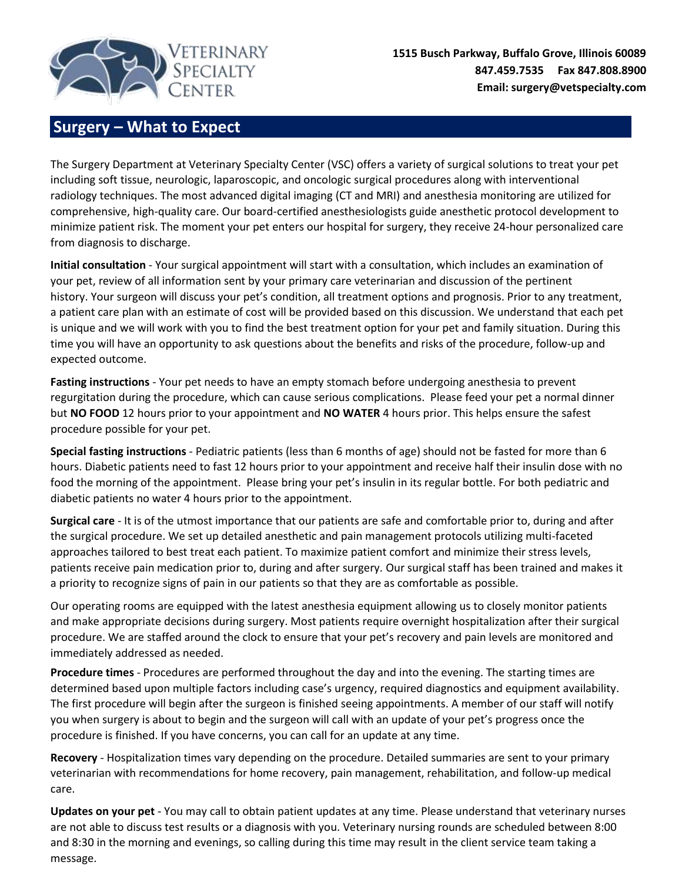

**1515 Busch Parkway, Buffalo Grove, Illinois 60089 847.459.7535 Fax 847.808.8900 Email: surgery@vetspecialty.com**

## **Surgery – What to Expect**

The Surgery Department at Veterinary Specialty Center (VSC) offers a variety of surgical solutions to treat your pet including soft tissue, neurologic, laparoscopic, and oncologic surgical procedures along with interventional radiology techniques. The most advanced digital imaging (CT and MRI) and anesthesia monitoring are utilized for comprehensive, high-quality care. Our board-certified anesthesiologists guide anesthetic protocol development to minimize patient risk. The moment your pet enters our hospital for surgery, they receive 24-hour personalized care from diagnosis to discharge.

**Initial consultation** - Your surgical appointment will start with a consultation, which includes an examination of your pet, review of all information sent by your primary care veterinarian and discussion of the pertinent history. Your surgeon will discuss your pet's condition, all treatment options and prognosis. Prior to any treatment, a patient care plan with an estimate of cost will be provided based on this discussion. We understand that each pet is unique and we will work with you to find the best treatment option for your pet and family situation. During this time you will have an opportunity to ask questions about the benefits and risks of the procedure, follow-up and expected outcome.

**Fasting instructions** - Your pet needs to have an empty stomach before undergoing anesthesia to prevent regurgitation during the procedure, which can cause serious complications. Please feed your pet a normal dinner but **NO FOOD** 12 hours prior to your appointment and **NO WATER** 4 hours prior. This helps ensure the safest procedure possible for your pet.

**Special fasting instructions** - Pediatric patients (less than 6 months of age) should not be fasted for more than 6 hours. Diabetic patients need to fast 12 hours prior to your appointment and receive half their insulin dose with no food the morning of the appointment. Please bring your pet's insulin in its regular bottle. For both pediatric and diabetic patients no water 4 hours prior to the appointment.

**Surgical care** - It is of the utmost importance that our patients are safe and comfortable prior to, during and after the surgical procedure. We set up detailed anesthetic and pain management protocols utilizing multi-faceted approaches tailored to best treat each patient. To maximize patient comfort and minimize their stress levels, patients receive pain medication prior to, during and after surgery. Our surgical staff has been trained and makes it a priority to recognize signs of pain in our patients so that they are as comfortable as possible.

Our operating rooms are equipped with the latest anesthesia equipment allowing us to closely monitor patients and make appropriate decisions during surgery. Most patients require overnight hospitalization after their surgical procedure. We are staffed around the clock to ensure that your pet's recovery and pain levels are monitored and immediately addressed as needed.

**Procedure times** - Procedures are performed throughout the day and into the evening. The starting times are determined based upon multiple factors including case's urgency, required diagnostics and equipment availability. The first procedure will begin after the surgeon is finished seeing appointments. A member of our staff will notify you when surgery is about to begin and the surgeon will call with an update of your pet's progress once the procedure is finished. If you have concerns, you can call for an update at any time.

**Recovery** - Hospitalization times vary depending on the procedure. Detailed summaries are sent to your primary veterinarian with recommendations for home recovery, pain management, rehabilitation, and follow-up medical care.

**Updates on your pet -** You may call to obtain patient updates at any time. Please understand that veterinary nurses are not able to discuss test results or a diagnosis with you. Veterinary nursing rounds are scheduled between 8:00 and 8:30 in the morning and evenings, so calling during this time may result in the client service team taking a message.